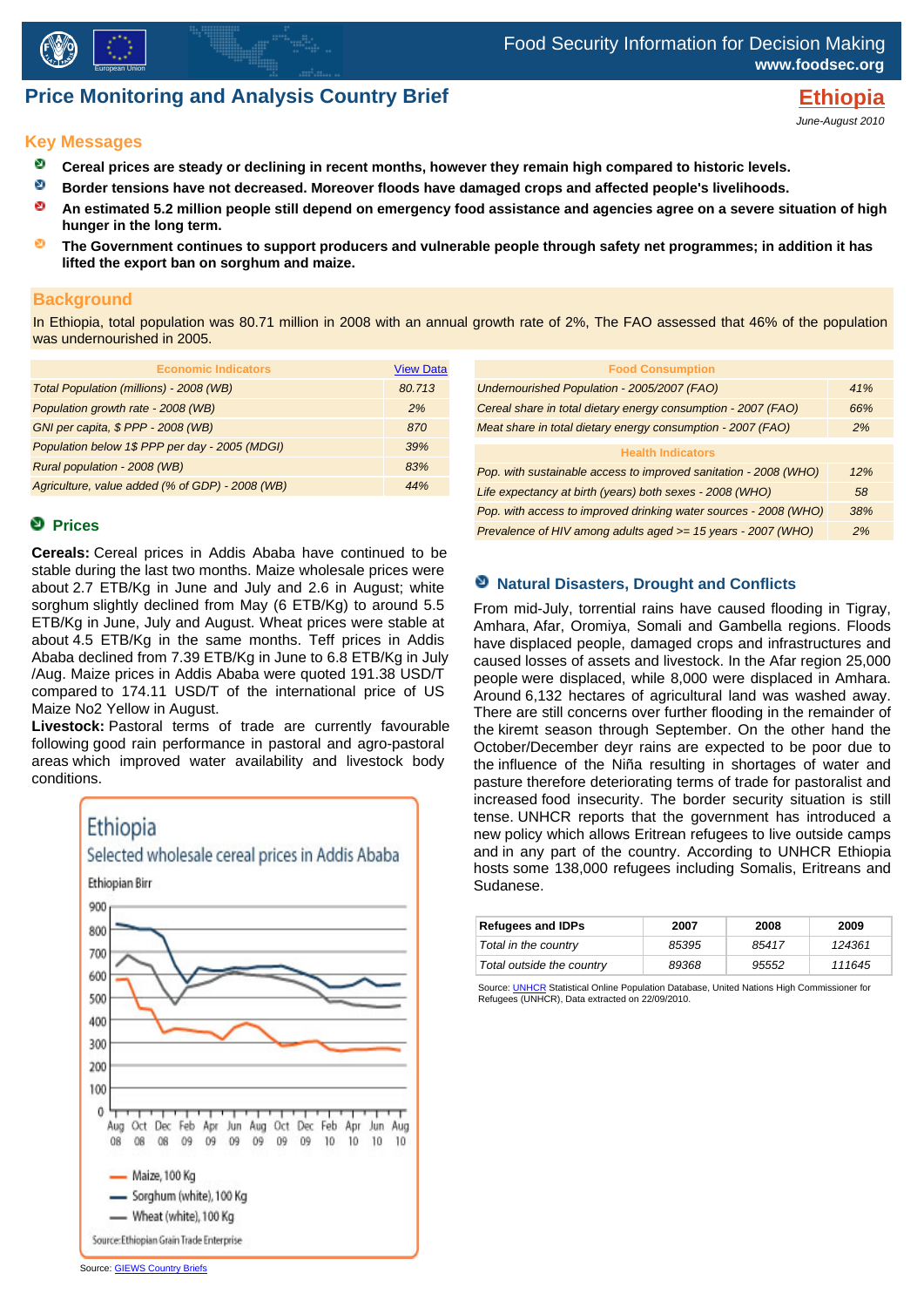

# **Price Monitoring and Analysis Country Brief Example 2018 Ethiopia**

June-August 2010

#### **Key Messages**

- **Cereal prices are steady or declining in recent months, however they remain high compared to historic levels.**
- Ň, **Border tensions have not decreased. Moreover floods have damaged crops and affected people's livelihoods.**
- ø **An estimated 5.2 million people still depend on emergency food assistance and agencies agree on a severe situation of high hunger in the long term.**
- ø **The Government continues to support producers and vulnerable people through safety net programmes; in addition it has lifted the export ban on sorghum and maize.**

#### **Background**

In Ethiopia, total population was 80.71 million in 2008 with an annual growth rate of 2%, The FAO assessed that 46% of the population was undernourished in 2005.

| <b>Economic Indicators</b>                      | <b>View Data</b> |
|-------------------------------------------------|------------------|
| Total Population (millions) - 2008 (WB)         | 80.713           |
| Population growth rate - 2008 (WB)              | 2%               |
| GNI per capita, \$ PPP - 2008 (WB)              | 870              |
| Population below 1\$ PPP per day - 2005 (MDGI)  | .39%             |
| Rural population - 2008 (WB)                    | 83%              |
| Agriculture, value added (% of GDP) - 2008 (WB) | 44%              |

### **Prices**

**Cereals:** Cereal prices in Addis Ababa have continued to be stable during the last two months. Maize wholesale prices were about 2.7 ETB/Kg in June and July and 2.6 in August; white sorghum slightly declined from May (6 ETB/Kg) to around 5.5 ETB/Kg in June, July and August. Wheat prices were stable at about 4.5 ETB/Kg in the same months. Teff prices in Addis Ababa declined from 7.39 ETB/Kg in June to 6.8 ETB/Kg in July /Aug. Maize prices in Addis Ababa were quoted 191.38 USD/T compared to 174.11 USD/T of the international price of US Maize No2 Yellow in August.

**Livestock:** Pastoral terms of trade are currently favourable following good rain performance in pastoral and agro-pastoral areas which improved water availability and livestock body conditions.



| <b>Food Consumption</b>                                          |     |
|------------------------------------------------------------------|-----|
| Undernourished Population - 2005/2007 (FAO)                      | 41% |
| Cereal share in total dietary energy consumption - 2007 (FAO)    | 66% |
| Meat share in total dietary energy consumption - 2007 (FAO)      | 2%  |
| <b>Health Indicators</b>                                         |     |
| Pop. with sustainable access to improved sanitation - 2008 (WHO) | 12% |
|                                                                  |     |
| Life expectancy at birth (years) both sexes - 2008 (WHO)         | 58  |
| Pop. with access to improved drinking water sources - 2008 (WHO) | 38% |
| Prevalence of HIV among adults aged >= 15 years - 2007 (WHO)     | 2%  |
|                                                                  |     |

#### **Natural Disasters, Drought and Conflicts**

From mid-July, torrential rains have caused flooding in Tigray, Amhara, Afar, Oromiya, Somali and Gambella regions. Floods have displaced people, damaged crops and infrastructures and caused losses of assets and livestock. In the Afar region 25,000 people were displaced, while 8,000 were displaced in Amhara. Around 6,132 hectares of agricultural land was washed away. There are still concerns over further flooding in the remainder of the kiremt season through September. On the other hand the October/December deyr rains are expected to be poor due to the influence of the Niña resulting in shortages of water and pasture therefore deteriorating terms of trade for pastoralist and increased food insecurity. The border security situation is still tense. UNHCR reports that the government has introduced a new policy which allows Eritrean refugees to live outside camps and in any part of the country. According to UNHCR Ethiopia hosts some 138,000 refugees including Somalis, Eritreans and Sudanese.

| <b>Refugees and IDPs</b>  | 2007  | 2008  | 2009   |
|---------------------------|-------|-------|--------|
| Total in the country      | 85395 | 85417 | 124361 |
| Total outside the country | 89368 | 95552 | 111645 |

Source: <u>UNHCR</u> Statistical Online Population Database, United Nations High Commissioner for<br>Refugees (UNHCR), Data extracted on 22/09/2010.